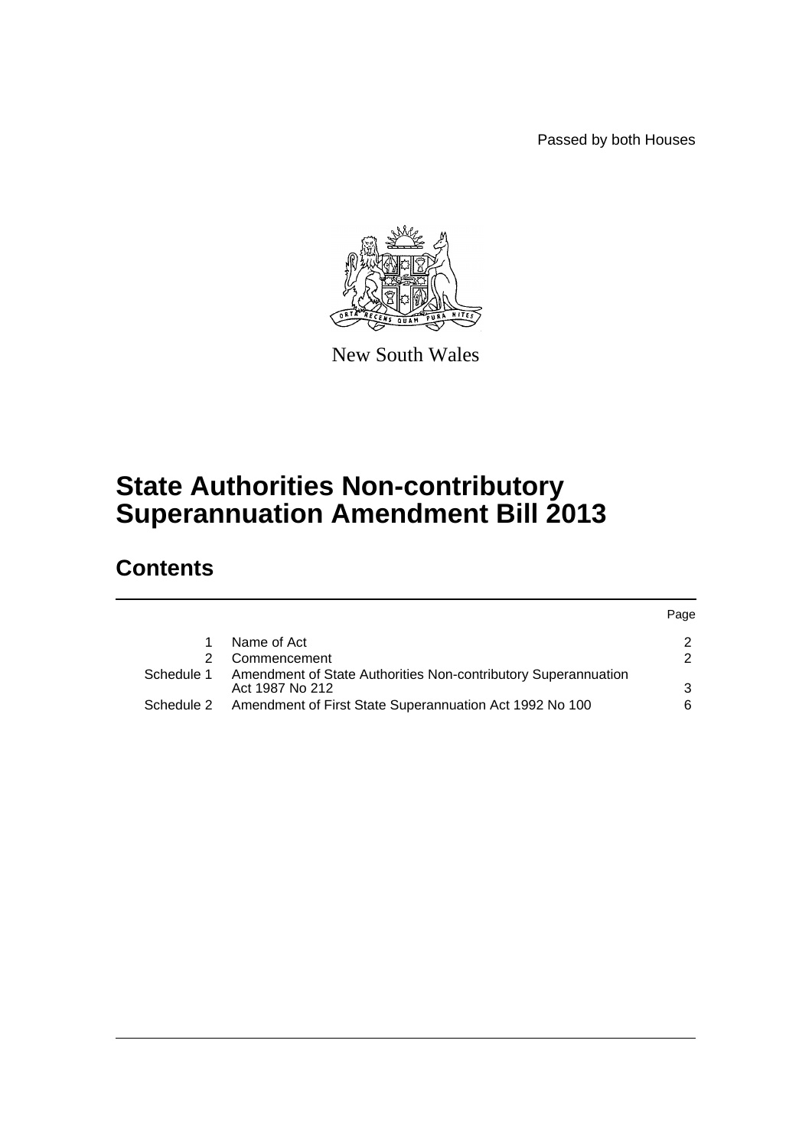Passed by both Houses



New South Wales

# **State Authorities Non-contributory Superannuation Amendment Bill 2013**

# **Contents**

|            |                                                                                   | Page |
|------------|-----------------------------------------------------------------------------------|------|
|            | Name of Act                                                                       |      |
| 2          | Commencement                                                                      |      |
| Schedule 1 | Amendment of State Authorities Non-contributory Superannuation<br>Act 1987 No 212 | 3    |
| Schedule 2 | Amendment of First State Superannuation Act 1992 No 100                           | 6    |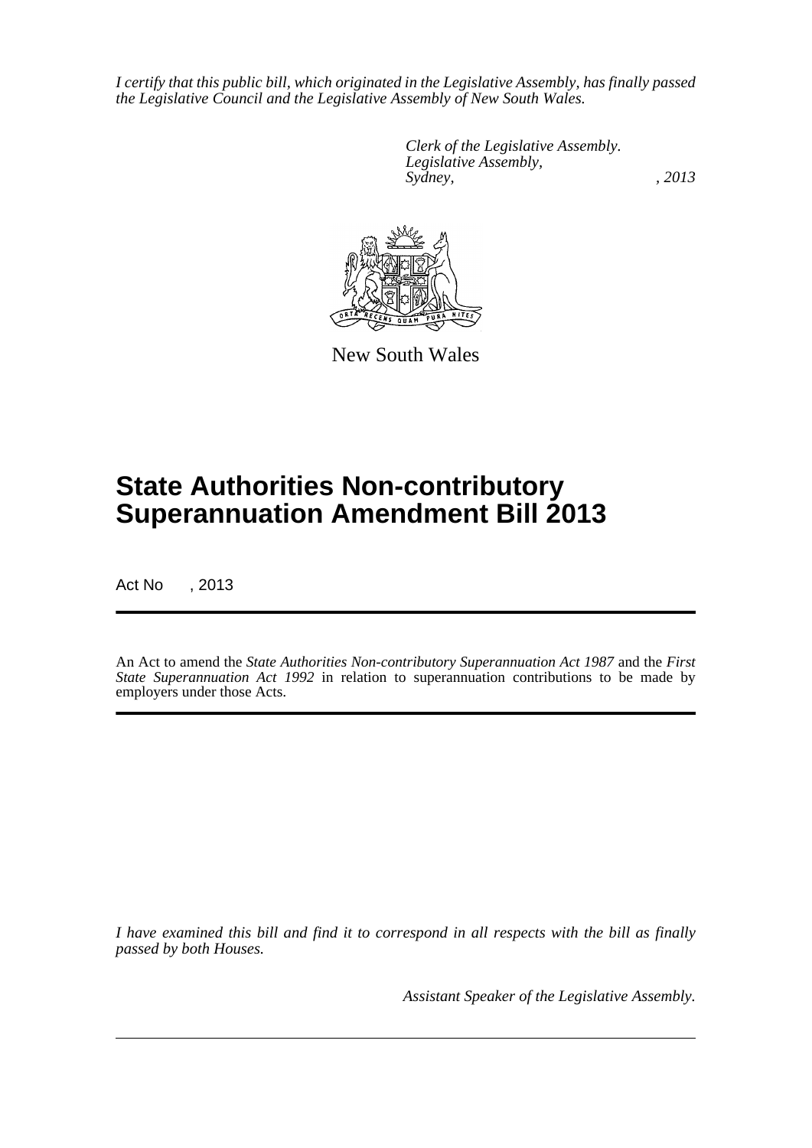*I certify that this public bill, which originated in the Legislative Assembly, has finally passed the Legislative Council and the Legislative Assembly of New South Wales.*

> *Clerk of the Legislative Assembly. Legislative Assembly, Sydney, , 2013*



New South Wales

# **State Authorities Non-contributory Superannuation Amendment Bill 2013**

Act No , 2013

An Act to amend the *State Authorities Non-contributory Superannuation Act 1987* and the *First State Superannuation Act 1992* in relation to superannuation contributions to be made by employers under those Acts.

*I have examined this bill and find it to correspond in all respects with the bill as finally passed by both Houses.*

*Assistant Speaker of the Legislative Assembly.*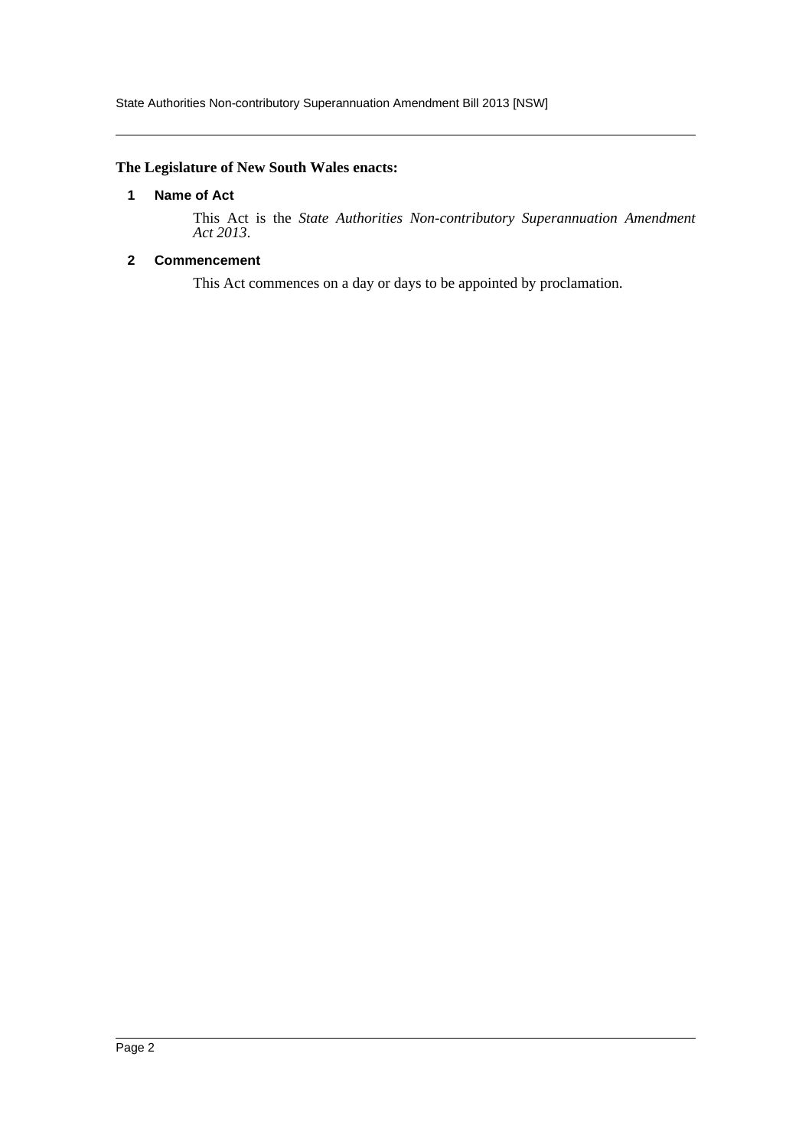State Authorities Non-contributory Superannuation Amendment Bill 2013 [NSW]

## <span id="page-2-0"></span>**The Legislature of New South Wales enacts:**

#### **1 Name of Act**

This Act is the *State Authorities Non-contributory Superannuation Amendment Act 2013*.

## <span id="page-2-1"></span>**2 Commencement**

This Act commences on a day or days to be appointed by proclamation.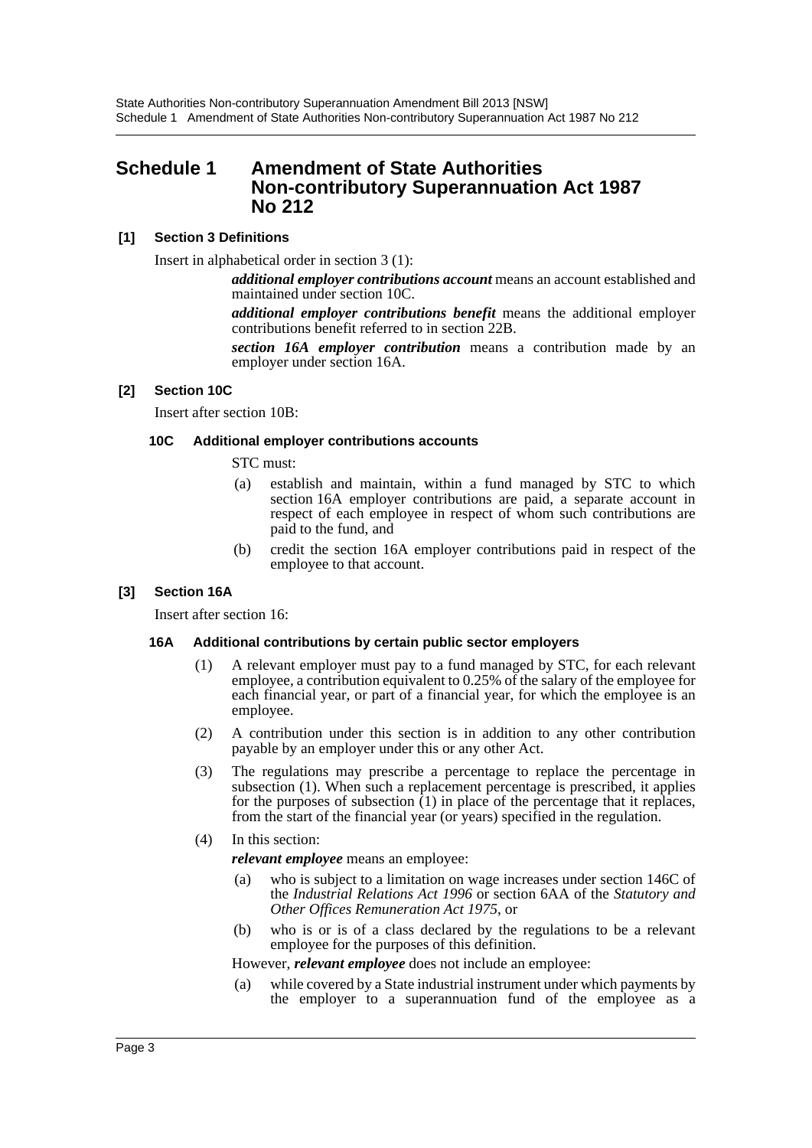# <span id="page-3-0"></span>**Schedule 1 Amendment of State Authorities Non-contributory Superannuation Act 1987 No 212**

### **[1] Section 3 Definitions**

Insert in alphabetical order in section 3 (1):

*additional employer contributions account* means an account established and maintained under section 10C.

*additional employer contributions benefit* means the additional employer contributions benefit referred to in section 22B.

*section 16A employer contribution* means a contribution made by an employer under section 16A.

#### **[2] Section 10C**

Insert after section 10B:

#### **10C Additional employer contributions accounts**

STC must:

- (a) establish and maintain, within a fund managed by STC to which section 16A employer contributions are paid, a separate account in respect of each employee in respect of whom such contributions are paid to the fund, and
- (b) credit the section 16A employer contributions paid in respect of the employee to that account.

#### **[3] Section 16A**

Insert after section 16:

#### **16A Additional contributions by certain public sector employers**

- (1) A relevant employer must pay to a fund managed by STC, for each relevant employee, a contribution equivalent to 0.25% of the salary of the employee for each financial year, or part of a financial year, for which the employee is an employee.
- (2) A contribution under this section is in addition to any other contribution payable by an employer under this or any other Act.
- (3) The regulations may prescribe a percentage to replace the percentage in subsection (1). When such a replacement percentage is prescribed, it applies for the purposes of subsection  $(1)$  in place of the percentage that it replaces, from the start of the financial year (or years) specified in the regulation.
- (4) In this section:

*relevant employee* means an employee:

- (a) who is subject to a limitation on wage increases under section 146C of the *Industrial Relations Act 1996* or section 6AA of the *Statutory and Other Offices Remuneration Act 1975*, or
- (b) who is or is of a class declared by the regulations to be a relevant employee for the purposes of this definition.

However, *relevant employee* does not include an employee:

(a) while covered by a State industrial instrument under which payments by the employer to a superannuation fund of the employee as a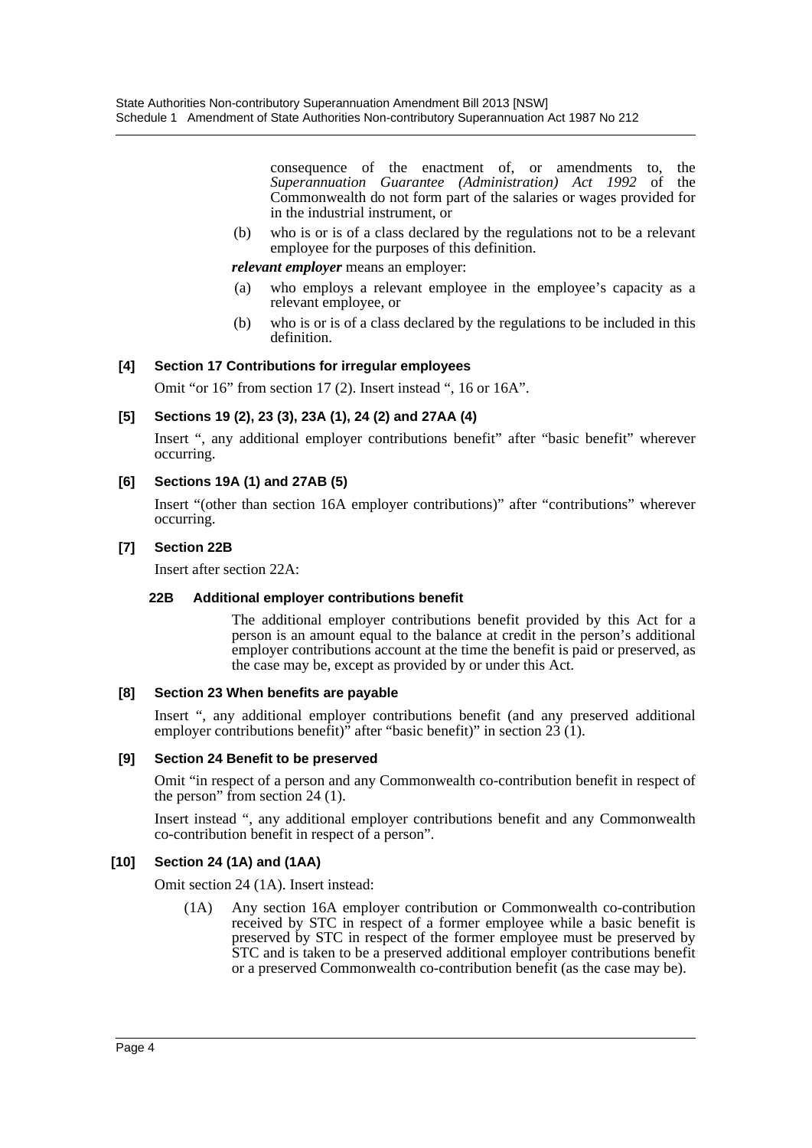consequence of the enactment of, or amendments to, the *Superannuation Guarantee (Administration) Act 1992* of the Commonwealth do not form part of the salaries or wages provided for in the industrial instrument, or

(b) who is or is of a class declared by the regulations not to be a relevant employee for the purposes of this definition.

#### *relevant employer* means an employer:

- (a) who employs a relevant employee in the employee's capacity as a relevant employee, or
- (b) who is or is of a class declared by the regulations to be included in this definition.

### **[4] Section 17 Contributions for irregular employees**

Omit "or 16" from section 17 (2). Insert instead ", 16 or 16A".

### **[5] Sections 19 (2), 23 (3), 23A (1), 24 (2) and 27AA (4)**

Insert ", any additional employer contributions benefit" after "basic benefit" wherever occurring.

### **[6] Sections 19A (1) and 27AB (5)**

Insert "(other than section 16A employer contributions)" after "contributions" wherever occurring.

#### **[7] Section 22B**

Insert after section 22A:

#### **22B Additional employer contributions benefit**

The additional employer contributions benefit provided by this Act for a person is an amount equal to the balance at credit in the person's additional employer contributions account at the time the benefit is paid or preserved, as the case may be, except as provided by or under this Act.

#### **[8] Section 23 When benefits are payable**

Insert ", any additional employer contributions benefit (and any preserved additional employer contributions benefit)" after "basic benefit)" in section  $23(1)$ .

#### **[9] Section 24 Benefit to be preserved**

Omit "in respect of a person and any Commonwealth co-contribution benefit in respect of the person" from section 24 (1).

Insert instead ", any additional employer contributions benefit and any Commonwealth co-contribution benefit in respect of a person".

#### **[10] Section 24 (1A) and (1AA)**

Omit section 24 (1A). Insert instead:

(1A) Any section 16A employer contribution or Commonwealth co-contribution received by STC in respect of a former employee while a basic benefit is preserved by STC in respect of the former employee must be preserved by STC and is taken to be a preserved additional employer contributions benefit or a preserved Commonwealth co-contribution benefit (as the case may be).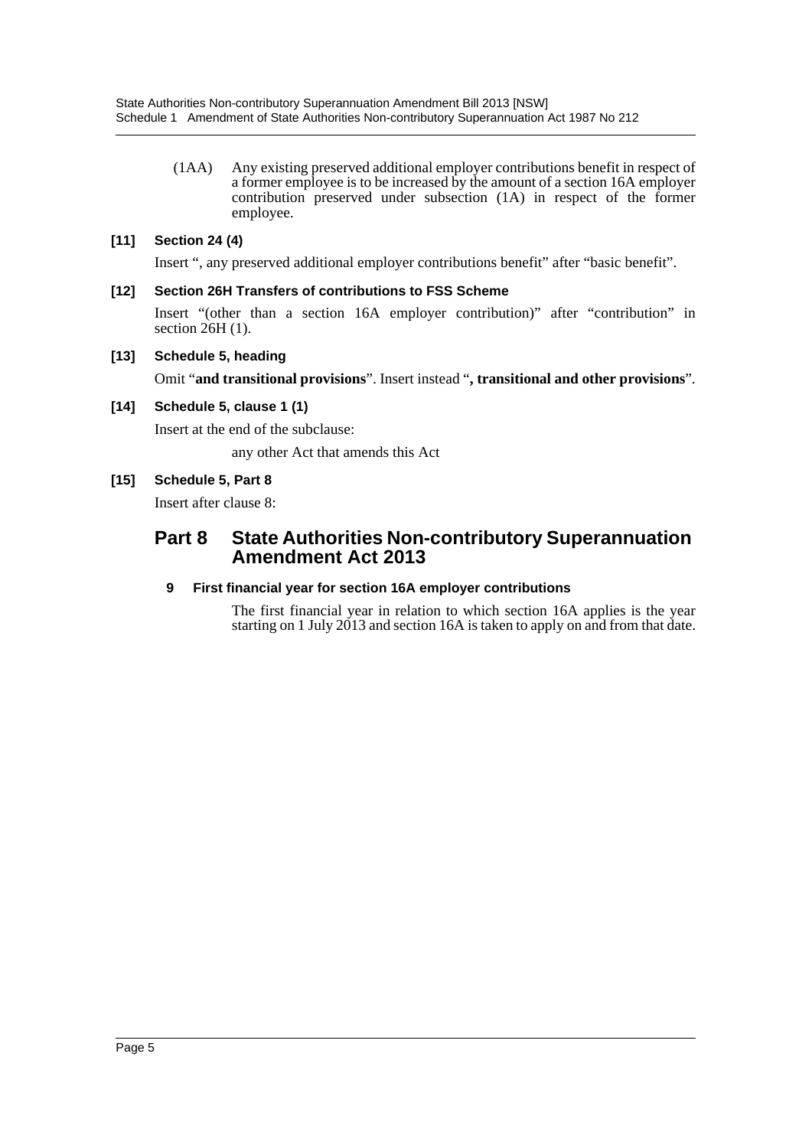(1AA) Any existing preserved additional employer contributions benefit in respect of a former employee is to be increased by the amount of a section 16A employer contribution preserved under subsection (1A) in respect of the former employee.

# **[11] Section 24 (4)**

Insert ", any preserved additional employer contributions benefit" after "basic benefit".

### **[12] Section 26H Transfers of contributions to FSS Scheme**

Insert "(other than a section 16A employer contribution)" after "contribution" in section 26H (1).

**[13] Schedule 5, heading**

Omit "**and transitional provisions**". Insert instead "**, transitional and other provisions**".

### **[14] Schedule 5, clause 1 (1)**

Insert at the end of the subclause:

any other Act that amends this Act

## **[15] Schedule 5, Part 8**

Insert after clause 8:

# **Part 8 State Authorities Non-contributory Superannuation Amendment Act 2013**

## **9 First financial year for section 16A employer contributions**

The first financial year in relation to which section 16A applies is the year starting on 1 July 2013 and section 16A is taken to apply on and from that date.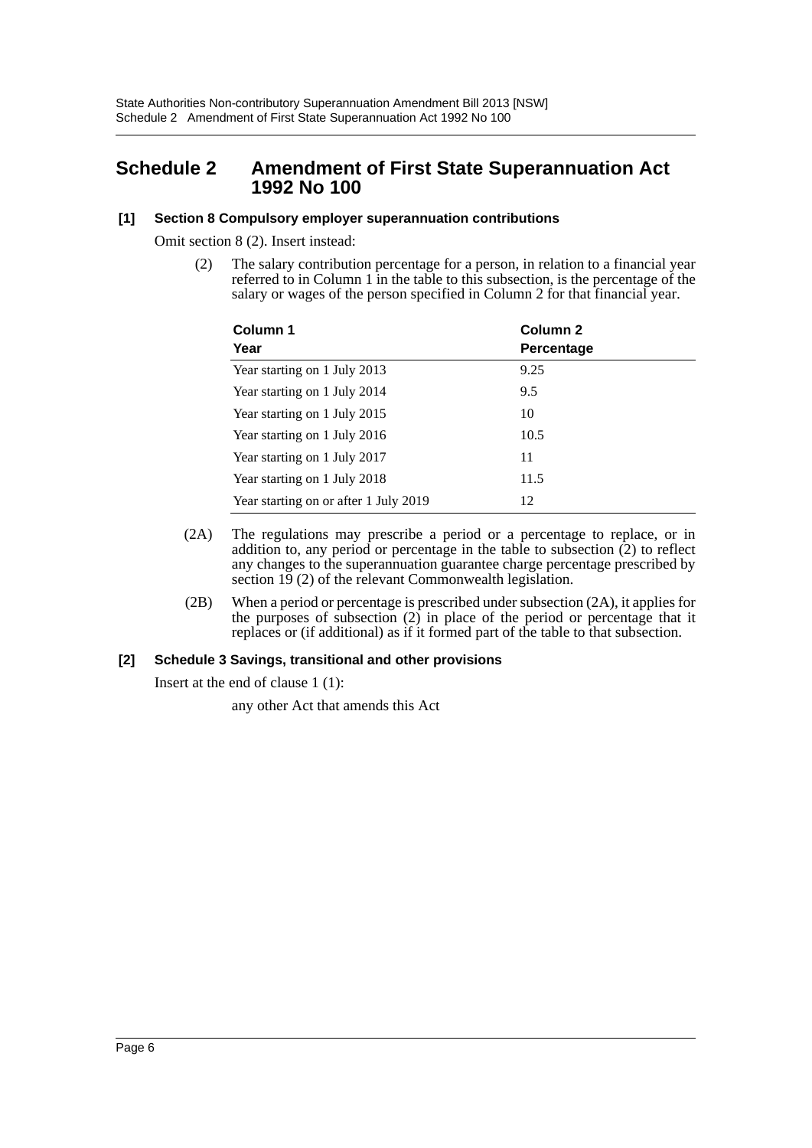# <span id="page-6-0"></span>**Schedule 2 Amendment of First State Superannuation Act 1992 No 100**

### **[1] Section 8 Compulsory employer superannuation contributions**

Omit section 8 (2). Insert instead:

(2) The salary contribution percentage for a person, in relation to a financial year referred to in Column 1 in the table to this subsection, is the percentage of the salary or wages of the person specified in Column 2 for that financial year.

| Column 1<br>Year                      | Column 2<br>Percentage |
|---------------------------------------|------------------------|
| Year starting on 1 July 2013          | 9.25                   |
| Year starting on 1 July 2014          | 9.5                    |
| Year starting on 1 July 2015          | 10                     |
| Year starting on 1 July 2016          | 10.5                   |
| Year starting on 1 July 2017          | 11                     |
| Year starting on 1 July 2018          | 11.5                   |
| Year starting on or after 1 July 2019 | 12                     |

- (2A) The regulations may prescribe a period or a percentage to replace, or in addition to, any period or percentage in the table to subsection (2) to reflect any changes to the superannuation guarantee charge percentage prescribed by section 19 (2) of the relevant Commonwealth legislation.
- (2B) When a period or percentage is prescribed under subsection (2A), it applies for the purposes of subsection  $(2)$  in place of the period or percentage that it replaces or (if additional) as if it formed part of the table to that subsection.

## **[2] Schedule 3 Savings, transitional and other provisions**

Insert at the end of clause 1 (1):

any other Act that amends this Act